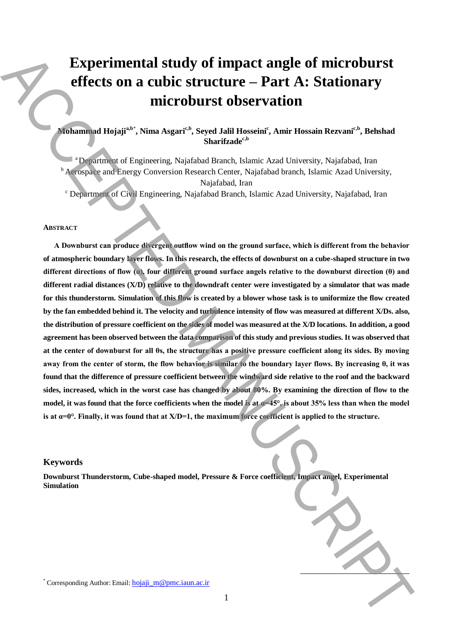# **Experimental study of impact angle of microburst effects on a cubic structure – Part A: Stationary microburst observation**

# **Mohammad Hojajia,b**\* **, Nima Asgaric,b, Seyed Jalil Hosseini<sup>c</sup> , Amir Hossain Rezvanic,b, Behshad Sharifzadec,b**

<sup>a</sup>Department of Engineering, Najafabad Branch, Islamic Azad University, Najafabad, Iran <sup>b</sup> Aerospace and Energy Conversion Research Center, Najafabad branch, Islamic Azad University, Najafabad, Iran

<sup>c</sup> Department of Civil Engineering, Najafabad Branch, Islamic Azad University, Najafabad, Iran

#### **ABSTRACT**

**A Downburst can produce divergent outflow wind on the ground surface, which is different from the behavior of atmospheric boundary layer flows. In this research, the effects of downburst on a cube-shaped structure in two different directions of flow (α), four different ground surface angels relative to the downburst direction (θ) and different radial distances (X/D) relative to the downdraft center were investigated by a simulator that was made for this thunderstorm. Simulation of this flow is created by a blower whose task is to uniformize the flow created by the fan embedded behind it. The velocity and turbulence intensity of flow was measured at different X/Ds. also, the distribution of pressure coefficient on the sides of model was measured at the X/D locations. In addition, a good agreement has been observed between the data comparison of this study and previous studies. It was observed that at the center of downburst for all θs, the structure has a positive pressure coefficient along its sides. By moving away from the center of storm, the flow behavior is similar to the boundary layer flows. By increasing θ, it was found that the difference of pressure coefficient between the windward side relative to the roof and the backward sides, increased, which in the worst case has changed by about 80%. By examining the direction of flow to the**  model, it was found that the force coefficients when the model is at  $\alpha$ =45°, is about 35% less than when the model is at  $\alpha=0^{\circ}$ . Finally, it was found that at  $X/D=1$ , the maximum force coefficient is applied to the structure. Experimential study of impact angle of microburst<br>
effects on a cubic structure – Part A: Stationary<br>
microburst observation<br>
processes tail Hossein, accepted and the second and the second and the second angle of Fighting

# **Keywords**

**Downburst Thunderstorm, Cube-shaped model, Pressure & Force coefficient, Impact angel, Experimental Simulation**

**.**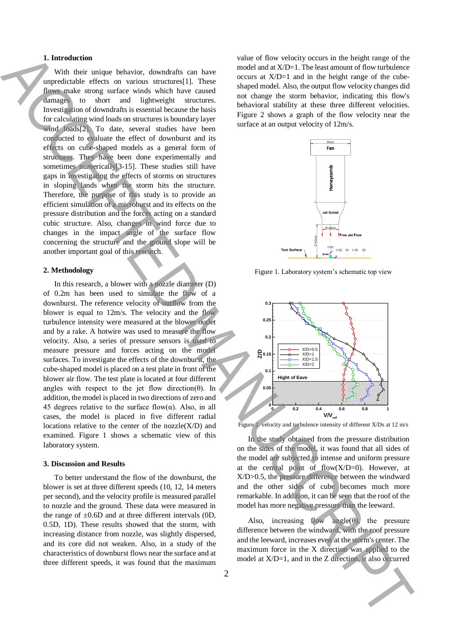### **1. Introduction**

With their unique behavior, downdrafts can have unpredictable effects on various structures[1]. These flows make strong surface winds which have caused damages to short and lightweight structures. Investigation of downdrafts is essential because the basis for calculating wind loads on structures is boundary layer wind loads[2]. To date, several studies have been conducted to evaluate the effect of downburst and its effects on cube-shaped models as a general form of structures. They have been done experimentally and sometimes numerically<sup>[3-15]</sup>. These studies still have gaps in investigating the effects of storms on structures in sloping lands when the storm hits the structure. Therefore, the purpose of this study is to provide an efficient simulation of a microburst and its effects on the pressure distribution and the forces acting on a standard cubic structure. Also, changes in wind force due to changes in the impact angle of the surface flow concerning the structure and the ground slope will be another important goal of this research. **1.** Internalistic distance of the set of the set of the set of the set of the set of the set of the set of the set of the set of the set of the set of the set of the set of the set of the set of the set of the set of the

## **2. Methodology**

In this research, a blower with a nozzle diameter (D) of 0.2m has been used to simulate the flow of a downburst. The reference velocity of outflow from the blower is equal to 12m/s. The velocity and the flow turbulence intensity were measured at the blower outlet and by a rake. A hotwire was used to measure the flow velocity. Also, a series of pressure sensors is used to measure pressure and forces acting on the model surfaces. To investigate the effects of the downburst, the cube-shaped model is placed on a test plate in front of the blower air flow. The test plate is located at four different angles with respect to the jet flow direction( $\theta$ ). In addition, the model is placed in two directions of zero and 45 degrees relative to the surface flow( $\alpha$ ). Also, in all cases, the model is placed in five different radial locations relative to the center of the  $nozzle(X/D)$  and examined. Figure 1 shows a schematic view of this laboratory system.

#### **3. Discussion and Results**

To better understand the flow of the downburst, the blower is set at three different speeds (10, 12, 14 meters per second), and the velocity profile is measured parallel to nozzle and the ground. These data were measured in the range of  $\pm 0.6$ D and at three different intervals (0D, 0.5D, 1D). These results showed that the storm, with increasing distance from nozzle, was slightly dispersed, and its core did not weaken. Also, in a study of the characteristics of downburst flows near the surface and at three different speeds, it was found that the maximum value of flow velocity occurs in the height range of the model and at X/D=1. The least amount of flow turbulence occurs at  $X/D=1$  and in the height range of the cubeshaped model. Also, the output flow velocity changes did not change the storm behavior, indicating this flow's behavioral stability at these three different velocities. Figure 2 shows a graph of the flow velocity near the surface at an output velocity of 12m/s.



Figure 1. Laboratory system's schematic top view



Figure 2. velocity and turbulence intensity of different X/Ds at 12 m/s

In the study obtained from the pressure distribution on the sides of the model, it was found that all sides of the model are subjected to intense and uniform pressure at the central point of flow $(X/D=0)$ . However, at X/D>0.5, the pressure difference between the windward and the other sides of cube becomes much more remarkable. In addition, it can be seen that the roof of the model has more negative pressure than the leeward.

Also, increasing flow angle( $\theta$ ), the pressure difference between the windward, with the roof pressure and the leeward, increases even at the storm's center. The maximum force in the X direction was applied to the model at X/D=1, and in the Z direction, it also occurred